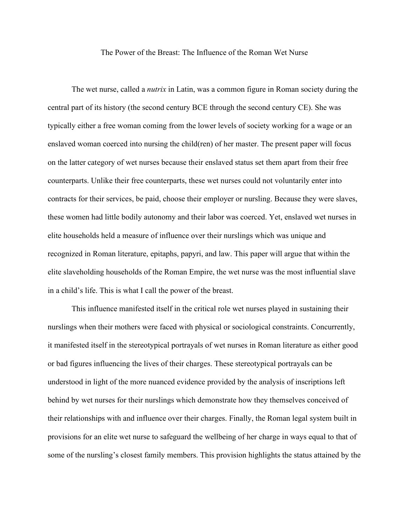The Power of the Breast: The Influence of the Roman Wet Nurse

The wet nurse, called a *nutrix* in Latin, was a common figure in Roman society during the central part of its history (the second century BCE through the second century CE). She was typically either a free woman coming from the lower levels of society working for a wage or an enslaved woman coerced into nursing the child(ren) of her master. The present paper will focus on the latter category of wet nurses because their enslaved status set them apart from their free counterparts. Unlike their free counterparts, these wet nurses could not voluntarily enter into contracts for their services, be paid, choose their employer or nursling. Because they were slaves, these women had little bodily autonomy and their labor was coerced. Yet, enslaved wet nurses in elite households held a measure of influence over their nurslings which was unique and recognized in Roman literature, epitaphs, papyri, and law. This paper will argue that within the elite slaveholding households of the Roman Empire, the wet nurse was the most influential slave in a child's life. This is what I call the power of the breast.

This influence manifested itself in the critical role wet nurses played in sustaining their nurslings when their mothers were faced with physical or sociological constraints. Concurrently, it manifested itself in the stereotypical portrayals of wet nurses in Roman literature as either good or bad figures influencing the lives of their charges. These stereotypical portrayals can be understood in light of the more nuanced evidence provided by the analysis of inscriptions left behind by wet nurses for their nurslings which demonstrate how they themselves conceived of their relationships with and influence over their charges. Finally, the Roman legal system built in provisions for an elite wet nurse to safeguard the wellbeing of her charge in ways equal to that of some of the nursling's closest family members. This provision highlights the status attained by the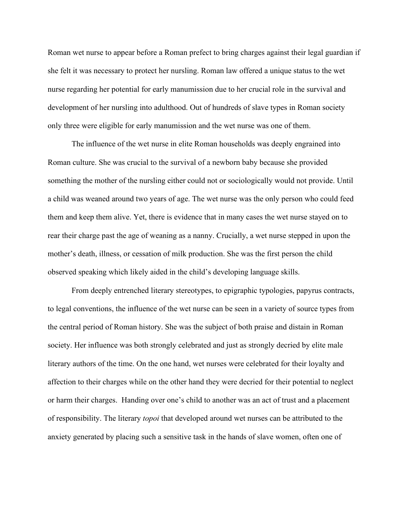Roman wet nurse to appear before a Roman prefect to bring charges against their legal guardian if she felt it was necessary to protect her nursling. Roman law offered a unique status to the wet nurse regarding her potential for early manumission due to her crucial role in the survival and development of her nursling into adulthood. Out of hundreds of slave types in Roman society only three were eligible for early manumission and the wet nurse was one of them.

The influence of the wet nurse in elite Roman households was deeply engrained into Roman culture. She was crucial to the survival of a newborn baby because she provided something the mother of the nursling either could not or sociologically would not provide. Until a child was weaned around two years of age. The wet nurse was the only person who could feed them and keep them alive. Yet, there is evidence that in many cases the wet nurse stayed on to rear their charge past the age of weaning as a nanny. Crucially, a wet nurse stepped in upon the mother's death, illness, or cessation of milk production. She was the first person the child observed speaking which likely aided in the child's developing language skills.

From deeply entrenched literary stereotypes, to epigraphic typologies, papyrus contracts, to legal conventions, the influence of the wet nurse can be seen in a variety of source types from the central period of Roman history. She was the subject of both praise and distain in Roman society. Her influence was both strongly celebrated and just as strongly decried by elite male literary authors of the time. On the one hand, wet nurses were celebrated for their loyalty and affection to their charges while on the other hand they were decried for their potential to neglect or harm their charges. Handing over one's child to another was an act of trust and a placement of responsibility. The literary *topoi* that developed around wet nurses can be attributed to the anxiety generated by placing such a sensitive task in the hands of slave women, often one of